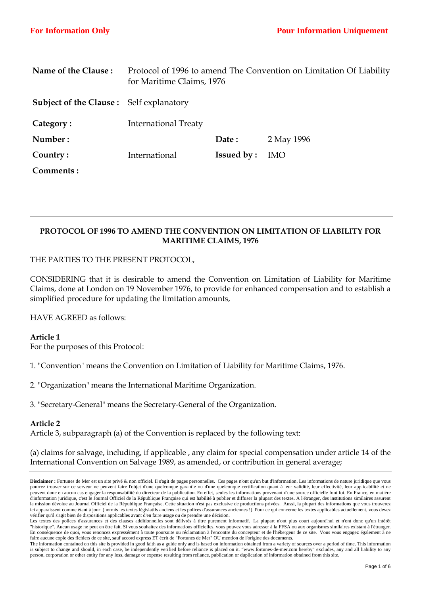| Name of the Clause:                            | Protocol of 1996 to amend The Convention on Limitation Of Liability<br>for Maritime Claims, 1976 |                   |            |
|------------------------------------------------|--------------------------------------------------------------------------------------------------|-------------------|------------|
| <b>Subject of the Clause:</b> Self explanatory |                                                                                                  |                   |            |
| Category:                                      | International Treaty                                                                             |                   |            |
| Number:                                        |                                                                                                  | Date:             | 2 May 1996 |
| Country:                                       | International                                                                                    | <b>Issued by:</b> | <b>IMO</b> |
| Comments:                                      |                                                                                                  |                   |            |

# **PROTOCOL OF 1996 TO AMEND THE CONVENTION ON LIMITATION OF LIABILITY FOR MARITIME CLAIMS, 1976**

# THE PARTIES TO THE PRESENT PROTOCOL,

CONSIDERING that it is desirable to amend the Convention on Limitation of Liability for Maritime Claims, done at London on 19 November 1976, to provide for enhanced compensation and to establish a simplified procedure for updating the limitation amounts,

# HAVE AGREED as follows:

### **Article 1**

For the purposes of this Protocol:

1. "Convention" means the Convention on Limitation of Liability for Maritime Claims, 1976.

2. "Organization" means the International Maritime Organization.

3. "Secretary-General" means the Secretary-General of the Organization.

# **Article 2**

Article 3, subparagraph (a) of the Convention is replaced by the following text:

(a) claims for salvage, including, if applicable , any claim for special compensation under article 14 of the International Convention on Salvage 1989, as amended, or contribution in general average;

**Disclaimer :** Fortunes de Mer est un site privé & non officiel. Il s'agit de pages personnelles. Ces pages n'ont qu'un but d'information. Les informations de nature juridique que vous pourrez trouver sur ce serveur ne peuvent faire l'objet d'une quelconque garantie ou d'une quelconque certification quant à leur validité, leur effectivité, leur applicabilité et ne peuvent donc en aucun cas engager la responsabilité du directeur de la publication. En effet, seules les informations provenant d'une source officielle font foi. En France, en matière d'information juridique, c'est le Journal Officiel de la République Française qui est habilité à publier et diffuser la plupart des textes. A l'étranger, des institutions similaires assurent la mission dévolue au Journal Officiel de la République Française. Cette situation n'est pas exclusive de productions privées. Aussi, la plupart des informations que vous trouverez ici apparaissent comme étant à jour (hormis les textes législatifs anciens et les polices d'assurances anciennes !). Pour ce qui concerne les textes applicables actuellement, vous devez vérifier qu'il s'agit bien de dispositions applicables avant d'en faire usage ou de prendre une décision.

Les textes des polices d'assurances et des clauses additionnelles sont délivrés à titre purement informatif. La plupart n'ont plus court aujourd'hui et n'ont donc qu'un intérêt "historique". Aucun usage ne peut en être fait. Si vous souhaitez des informations officielles, vous pouvez vous adresser à la FFSA ou aux organismes similaires existant à l'étranger. En conséquence de quoi, vous renoncez expressément à toute poursuite ou réclamation à l'encontre du concepteur et de l'hébergeur de ce site. Vous vous engagez également à ne faire aucune copie des fichiers de ce site, sauf accord express ET écrit de "Fortunes de Mer" OU mention de l'origine des documents.

The information contained on this site is provided in good faith as a guide only and is based on information obtained from a variety of sources over a period of time. This information is subject to change and should, in each case, be independently verified before reliance is placed on it. "www.fortunes-de-mer.com hereby" excludes, any and all liability to any person, corporation or other entity for any loss, damage or expense resulting from reliance, publication or duplication of information obtained from this site.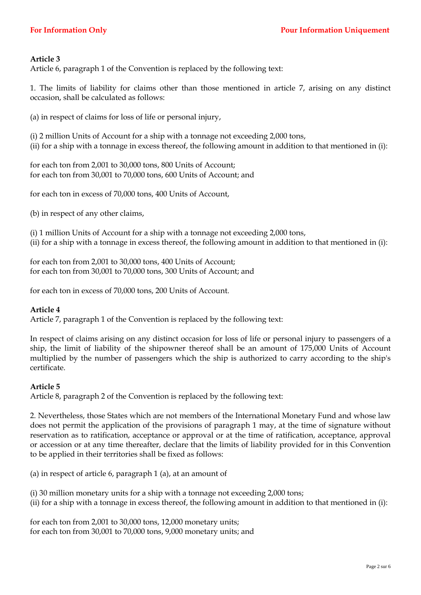# **Article 3**

Article 6, paragraph 1 of the Convention is replaced by the following text:

1. The limits of liability for claims other than those mentioned in article 7, arising on any distinct occasion, shall be calculated as follows:

(a) in respect of claims for loss of life or personal injury,

(i) 2 million Units of Account for a ship with a tonnage not exceeding 2,000 tons,

(ii) for a ship with a tonnage in excess thereof, the following amount in addition to that mentioned in (i):

for each ton from 2,001 to 30,000 tons, 800 Units of Account; for each ton from 30,001 to 70,000 tons, 600 Units of Account; and

for each ton in excess of 70,000 tons, 400 Units of Account,

(b) in respect of any other claims,

(i) 1 million Units of Account for a ship with a tonnage not exceeding 2,000 tons,

(ii) for a ship with a tonnage in excess thereof, the following amount in addition to that mentioned in (i):

for each ton from 2,001 to 30,000 tons, 400 Units of Account; for each ton from 30,001 to 70,000 tons, 300 Units of Account; and

for each ton in excess of 70,000 tons, 200 Units of Account.

# **Article 4**

Article 7, paragraph 1 of the Convention is replaced by the following text:

In respect of claims arising on any distinct occasion for loss of life or personal injury to passengers of a ship, the limit of liability of the shipowner thereof shall be an amount of 175,000 Units of Account multiplied by the number of passengers which the ship is authorized to carry according to the ship's certificate.

# **Article 5**

Article 8, paragraph 2 of the Convention is replaced by the following text:

2. Nevertheless, those States which are not members of the International Monetary Fund and whose law does not permit the application of the provisions of paragraph 1 may, at the time of signature without reservation as to ratification, acceptance or approval or at the time of ratification, acceptance, approval or accession or at any time thereafter, declare that the limits of liability provided for in this Convention to be applied in their territories shall be fixed as follows:

(a) in respect of article 6, paragraph 1 (a), at an amount of

(i) 30 million monetary units for a ship with a tonnage not exceeding 2,000 tons;

(ii) for a ship with a tonnage in excess thereof, the following amount in addition to that mentioned in (i):

for each ton from 2,001 to 30,000 tons, 12,000 monetary units; for each ton from 30,001 to 70,000 tons, 9,000 monetary units; and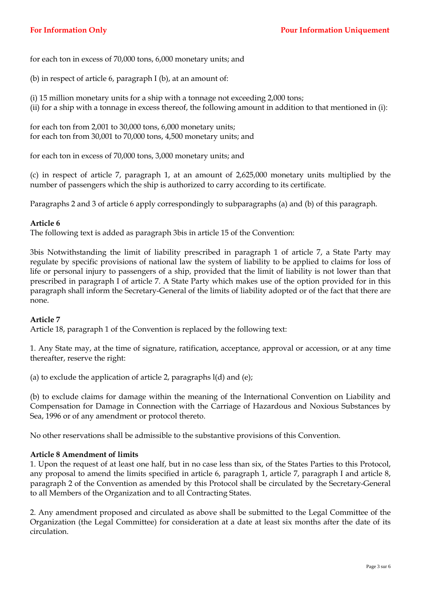for each ton in excess of 70,000 tons, 6,000 monetary units; and

(b) in respect of article 6, paragraph I (b), at an amount of:

(i) 15 million monetary units for a ship with a tonnage not exceeding 2,000 tons;

(ii) for a ship with a tonnage in excess thereof, the following amount in addition to that mentioned in (i):

for each ton from 2,001 to 30,000 tons, 6,000 monetary units; for each ton from 30,001 to 70,000 tons, 4,500 monetary units; and

for each ton in excess of 70,000 tons, 3,000 monetary units; and

(c) in respect of article 7, paragraph 1, at an amount of 2,625,000 monetary units multiplied by the number of passengers which the ship is authorized to carry according to its certificate.

Paragraphs 2 and 3 of article 6 apply correspondingly to subparagraphs (a) and (b) of this paragraph.

## **Article 6**

The following text is added as paragraph 3bis in article 15 of the Convention:

3bis Notwithstanding the limit of liability prescribed in paragraph 1 of article 7, a State Party may regulate by specific provisions of national law the system of liability to be applied to claims for loss of life or personal injury to passengers of a ship, provided that the limit of liability is not lower than that prescribed in paragraph I of article 7. A State Party which makes use of the option provided for in this paragraph shall inform the Secretary-General of the limits of liability adopted or of the fact that there are none.

### **Article 7**

Article 18, paragraph 1 of the Convention is replaced by the following text:

1. Any State may, at the time of signature, ratification, acceptance, approval or accession, or at any time thereafter, reserve the right:

(a) to exclude the application of article 2, paragraphs  $l(d)$  and  $(e)$ ;

(b) to exclude claims for damage within the meaning of the International Convention on Liability and Compensation for Damage in Connection with the Carriage of Hazardous and Noxious Substances by Sea, 1996 or of any amendment or protocol thereto.

No other reservations shall be admissible to the substantive provisions of this Convention.

### **Article 8 Amendment of limits**

1. Upon the request of at least one half, but in no case less than six, of the States Parties to this Protocol, any proposal to amend the limits specified in article 6, paragraph 1, article 7, paragraph I and article 8, paragraph 2 of the Convention as amended by this Protocol shall be circulated by the Secretary-General to all Members of the Organization and to all Contracting States.

2. Any amendment proposed and circulated as above shall be submitted to the Legal Committee of the Organization (the Legal Committee) for consideration at a date at least six months after the date of its circulation.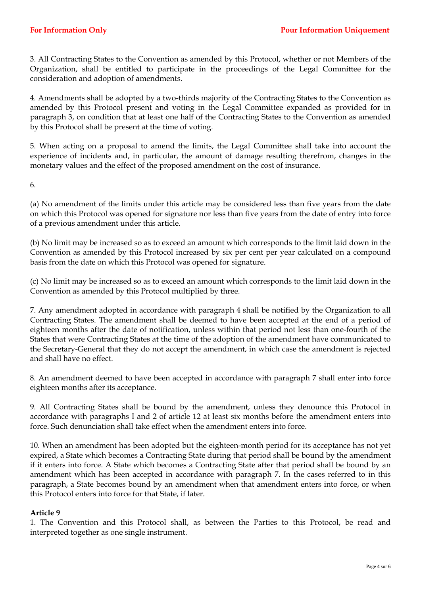3. All Contracting States to the Convention as amended by this Protocol, whether or not Members of the Organization, shall be entitled to participate in the proceedings of the Legal Committee for the consideration and adoption of amendments.

4. Amendments shall be adopted by a two-thirds majority of the Contracting States to the Convention as amended by this Protocol present and voting in the Legal Committee expanded as provided for in paragraph 3, on condition that at least one half of the Contracting States to the Convention as amended by this Protocol shall be present at the time of voting.

5. When acting on a proposal to amend the limits, the Legal Committee shall take into account the experience of incidents and, in particular, the amount of damage resulting therefrom, changes in the monetary values and the effect of the proposed amendment on the cost of insurance.

6.

(a) No amendment of the limits under this article may be considered less than five years from the date on which this Protocol was opened for signature nor less than five years from the date of entry into force of a previous amendment under this article.

(b) No limit may be increased so as to exceed an amount which corresponds to the limit laid down in the Convention as amended by this Protocol increased by six per cent per year calculated on a compound basis from the date on which this Protocol was opened for signature.

(c) No limit may be increased so as to exceed an amount which corresponds to the limit laid down in the Convention as amended by this Protocol multiplied by three.

7. Any amendment adopted in accordance with paragraph 4 shall be notified by the Organization to all Contracting States. The amendment shall be deemed to have been accepted at the end of a period of eighteen months after the date of notification, unless within that period not less than one-fourth of the States that were Contracting States at the time of the adoption of the amendment have communicated to the Secretary-General that they do not accept the amendment, in which case the amendment is rejected and shall have no effect.

8. An amendment deemed to have been accepted in accordance with paragraph 7 shall enter into force eighteen months after its acceptance.

9. All Contracting States shall be bound by the amendment, unless they denounce this Protocol in accordance with paragraphs I and 2 of article 12 at least six months before the amendment enters into force. Such denunciation shall take effect when the amendment enters into force.

10. When an amendment has been adopted but the eighteen-month period for its acceptance has not yet expired, a State which becomes a Contracting State during that period shall be bound by the amendment if it enters into force. A State which becomes a Contracting State after that period shall be bound by an amendment which has been accepted in accordance with paragraph 7. In the cases referred to in this paragraph, a State becomes bound by an amendment when that amendment enters into force, or when this Protocol enters into force for that State, if later.

# **Article 9**

1. The Convention and this Protocol shall, as between the Parties to this Protocol, be read and interpreted together as one single instrument.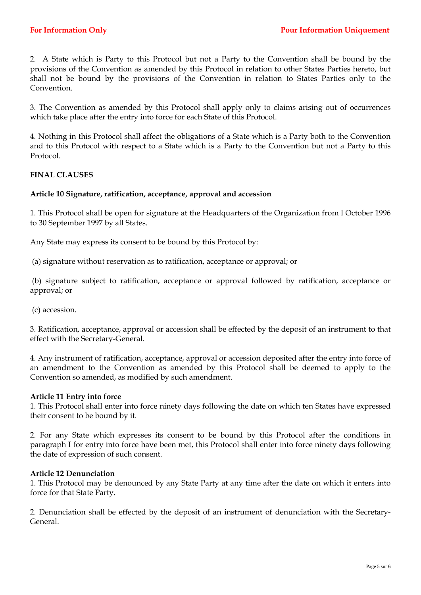2. A State which is Party to this Protocol but not a Party to the Convention shall be bound by the provisions of the Convention as amended by this Protocol in relation to other States Parties hereto, but shall not be bound by the provisions of the Convention in relation to States Parties only to the Convention.

3. The Convention as amended by this Protocol shall apply only to claims arising out of occurrences which take place after the entry into force for each State of this Protocol.

4. Nothing in this Protocol shall affect the obligations of a State which is a Party both to the Convention and to this Protocol with respect to a State which is a Party to the Convention but not a Party to this Protocol.

# **FINAL CLAUSES**

## **Article 10 Signature, ratification, acceptance, approval and accession**

1. This Protocol shall be open for signature at the Headquarters of the Organization from l October 1996 to 30 September 1997 by all States.

Any State may express its consent to be bound by this Protocol by:

(a) signature without reservation as to ratification, acceptance or approval; or

 (b) signature subject to ratification, acceptance or approval followed by ratification, acceptance or approval; or

(c) accession.

3. Ratification, acceptance, approval or accession shall be effected by the deposit of an instrument to that effect with the Secretary-General.

4. Any instrument of ratification, acceptance, approval or accession deposited after the entry into force of an amendment to the Convention as amended by this Protocol shall be deemed to apply to the Convention so amended, as modified by such amendment.

### **Article 11 Entry into force**

1. This Protocol shall enter into force ninety days following the date on which ten States have expressed their consent to be bound by it.

2. For any State which expresses its consent to be bound by this Protocol after the conditions in paragraph I for entry into force have been met, this Protocol shall enter into force ninety days following the date of expression of such consent.

### **Article 12 Denunciation**

1. This Protocol may be denounced by any State Party at any time after the date on which it enters into force for that State Party.

2. Denunciation shall be effected by the deposit of an instrument of denunciation with the Secretary-General.